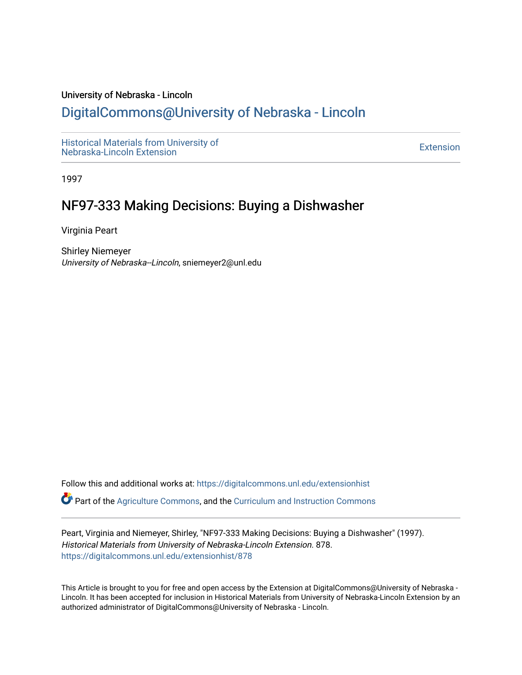#### University of Nebraska - Lincoln

## [DigitalCommons@University of Nebraska - Lincoln](https://digitalcommons.unl.edu/)

[Historical Materials from University of](https://digitalcommons.unl.edu/extensionhist)  nistorical Materials from Oniversity of the control of the control of the [Extension](https://digitalcommons.unl.edu/coop_extension) Extension extension of the<br>Nebraska-Lincoln Extension

1997

# NF97-333 Making Decisions: Buying a Dishwasher

Virginia Peart

Shirley Niemeyer University of Nebraska--Lincoln, sniemeyer2@unl.edu

Follow this and additional works at: [https://digitalcommons.unl.edu/extensionhist](https://digitalcommons.unl.edu/extensionhist?utm_source=digitalcommons.unl.edu%2Fextensionhist%2F878&utm_medium=PDF&utm_campaign=PDFCoverPages) 

Part of the [Agriculture Commons](http://network.bepress.com/hgg/discipline/1076?utm_source=digitalcommons.unl.edu%2Fextensionhist%2F878&utm_medium=PDF&utm_campaign=PDFCoverPages), and the [Curriculum and Instruction Commons](http://network.bepress.com/hgg/discipline/786?utm_source=digitalcommons.unl.edu%2Fextensionhist%2F878&utm_medium=PDF&utm_campaign=PDFCoverPages) 

Peart, Virginia and Niemeyer, Shirley, "NF97-333 Making Decisions: Buying a Dishwasher" (1997). Historical Materials from University of Nebraska-Lincoln Extension. 878. [https://digitalcommons.unl.edu/extensionhist/878](https://digitalcommons.unl.edu/extensionhist/878?utm_source=digitalcommons.unl.edu%2Fextensionhist%2F878&utm_medium=PDF&utm_campaign=PDFCoverPages) 

This Article is brought to you for free and open access by the Extension at DigitalCommons@University of Nebraska - Lincoln. It has been accepted for inclusion in Historical Materials from University of Nebraska-Lincoln Extension by an authorized administrator of DigitalCommons@University of Nebraska - Lincoln.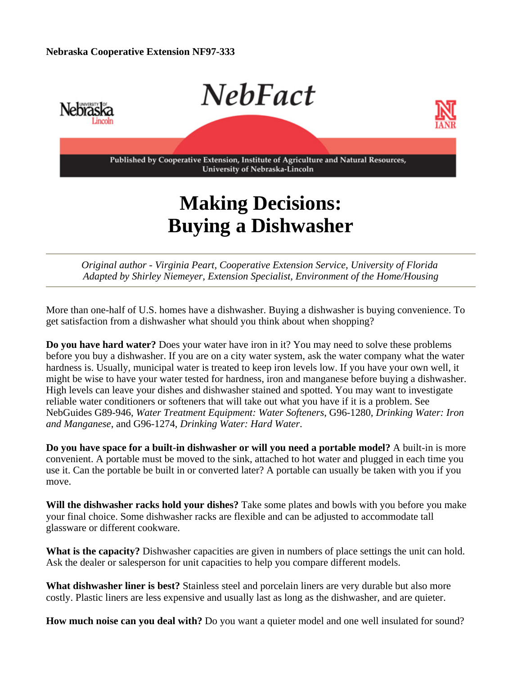

# **Making Decisions: Buying a Dishwasher**

*Original author - Virginia Peart, Cooperative Extension Service, University of Florida Adapted by Shirley Niemeyer, Extension Specialist, Environment of the Home/Housing*

More than one-half of U.S. homes have a dishwasher. Buying a dishwasher is buying convenience. To get satisfaction from a dishwasher what should you think about when shopping?

**Do you have hard water?** Does your water have iron in it? You may need to solve these problems before you buy a dishwasher. If you are on a city water system, ask the water company what the water hardness is. Usually, municipal water is treated to keep iron levels low. If you have your own well, it might be wise to have your water tested for hardness, iron and manganese before buying a dishwasher. High levels can leave your dishes and dishwasher stained and spotted. You may want to investigate reliable water conditioners or softeners that will take out what you have if it is a problem. See NebGuides G89-946, *Water Treatment Equipment: Water Softeners*, G96-1280, *Drinking Water: Iron and Manganese*, and G96-1274, *Drinking Water: Hard Water*.

**Do you have space for a built-in dishwasher or will you need a portable model?** A built-in is more convenient. A portable must be moved to the sink, attached to hot water and plugged in each time you use it. Can the portable be built in or converted later? A portable can usually be taken with you if you move.

**Will the dishwasher racks hold your dishes?** Take some plates and bowls with you before you make your final choice. Some dishwasher racks are flexible and can be adjusted to accommodate tall glassware or different cookware.

**What is the capacity?** Dishwasher capacities are given in numbers of place settings the unit can hold. Ask the dealer or salesperson for unit capacities to help you compare different models.

**What dishwasher liner is best?** Stainless steel and porcelain liners are very durable but also more costly. Plastic liners are less expensive and usually last as long as the dishwasher, and are quieter.

**How much noise can you deal with?** Do you want a quieter model and one well insulated for sound?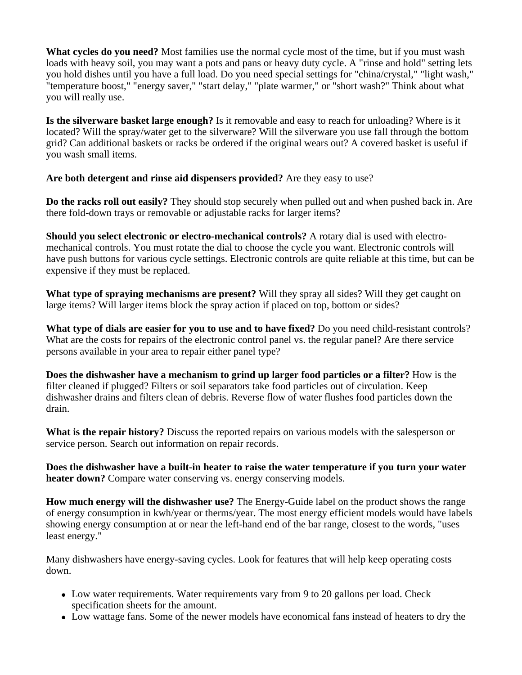**What cycles do you need?** Most families use the normal cycle most of the time, but if you must wash loads with heavy soil, you may want a pots and pans or heavy duty cycle. A "rinse and hold" setting lets you hold dishes until you have a full load. Do you need special settings for "china/crystal," "light wash," "temperature boost," "energy saver," "start delay," "plate warmer," or "short wash?" Think about what you will really use.

**Is the silverware basket large enough?** Is it removable and easy to reach for unloading? Where is it located? Will the spray/water get to the silverware? Will the silverware you use fall through the bottom grid? Can additional baskets or racks be ordered if the original wears out? A covered basket is useful if you wash small items.

**Are both detergent and rinse aid dispensers provided?** Are they easy to use?

**Do the racks roll out easily?** They should stop securely when pulled out and when pushed back in. Are there fold-down trays or removable or adjustable racks for larger items?

**Should you select electronic or electro-mechanical controls?** A rotary dial is used with electromechanical controls. You must rotate the dial to choose the cycle you want. Electronic controls will have push buttons for various cycle settings. Electronic controls are quite reliable at this time, but can be expensive if they must be replaced.

**What type of spraying mechanisms are present?** Will they spray all sides? Will they get caught on large items? Will larger items block the spray action if placed on top, bottom or sides?

**What type of dials are easier for you to use and to have fixed?** Do you need child-resistant controls? What are the costs for repairs of the electronic control panel vs. the regular panel? Are there service persons available in your area to repair either panel type?

**Does the dishwasher have a mechanism to grind up larger food particles or a filter?** How is the filter cleaned if plugged? Filters or soil separators take food particles out of circulation. Keep dishwasher drains and filters clean of debris. Reverse flow of water flushes food particles down the drain.

**What is the repair history?** Discuss the reported repairs on various models with the salesperson or service person. Search out information on repair records.

**Does the dishwasher have a built-in heater to raise the water temperature if you turn your water heater down?** Compare water conserving vs. energy conserving models.

**How much energy will the dishwasher use?** The Energy-Guide label on the product shows the range of energy consumption in kwh/year or therms/year. The most energy efficient models would have labels showing energy consumption at or near the left-hand end of the bar range, closest to the words, "uses least energy."

Many dishwashers have energy-saving cycles. Look for features that will help keep operating costs down.

- Low water requirements. Water requirements vary from 9 to 20 gallons per load. Check specification sheets for the amount.
- Low wattage fans. Some of the newer models have economical fans instead of heaters to dry the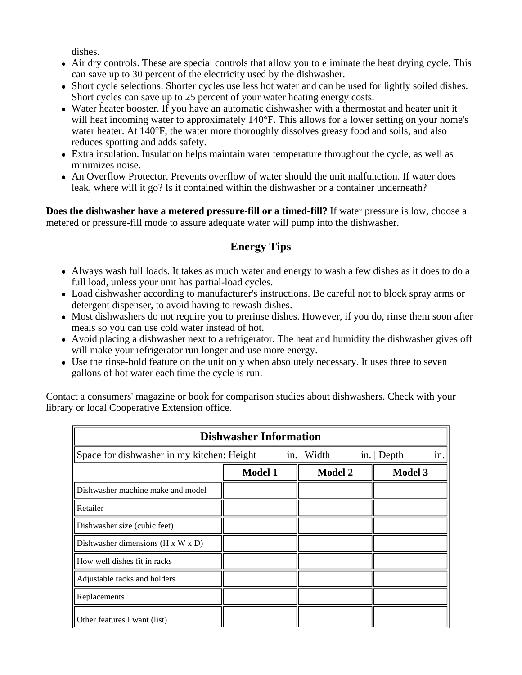dishes.

- Air dry controls. These are special controls that allow you to eliminate the heat drying cycle. This can save up to 30 percent of the electricity used by the dishwasher.
- Short cycle selections. Shorter cycles use less hot water and can be used for lightly soiled dishes. Short cycles can save up to 25 percent of your water heating energy costs.
- Water heater booster. If you have an automatic dishwasher with a thermostat and heater unit it will heat incoming water to approximately 140°F. This allows for a lower setting on your home's water heater. At 140°F, the water more thoroughly dissolves greasy food and soils, and also reduces spotting and adds safety.
- Extra insulation. Insulation helps maintain water temperature throughout the cycle, as well as minimizes noise.
- An Overflow Protector. Prevents overflow of water should the unit malfunction. If water does leak, where will it go? Is it contained within the dishwasher or a container underneath?

**Does the dishwasher have a metered pressure-fill or a timed-fill?** If water pressure is low, choose a metered or pressure-fill mode to assure adequate water will pump into the dishwasher.

## **Energy Tips**

- Always wash full loads. It takes as much water and energy to wash a few dishes as it does to do a full load, unless your unit has partial-load cycles.
- Load dishwasher according to manufacturer's instructions. Be careful not to block spray arms or detergent dispenser, to avoid having to rewash dishes.
- Most dishwashers do not require you to prerinse dishes. However, if you do, rinse them soon after meals so you can use cold water instead of hot.
- Avoid placing a dishwasher next to a refrigerator. The heat and humidity the dishwasher gives off will make your refrigerator run longer and use more energy.
- Use the rinse-hold feature on the unit only when absolutely necessary. It uses three to seven gallons of hot water each time the cycle is run.

Contact a consumers' magazine or book for comparison studies about dishwashers. Check with your library or local Cooperative Extension office.

| <b>Dishwasher Information</b>                   |                |                                                                                             |                |  |
|-------------------------------------------------|----------------|---------------------------------------------------------------------------------------------|----------------|--|
|                                                 |                | Space for dishwasher in my kitchen: Height ______ in.   Width ______ in.   Depth ______ in. |                |  |
|                                                 | <b>Model 1</b> | <b>Model 2</b>                                                                              | <b>Model 3</b> |  |
| Dishwasher machine make and model               |                |                                                                                             |                |  |
| Retailer                                        |                |                                                                                             |                |  |
| Dishwasher size (cubic feet)                    |                |                                                                                             |                |  |
| Dishwasher dimensions ( $H \times W \times D$ ) |                |                                                                                             |                |  |
| How well dishes fit in racks                    |                |                                                                                             |                |  |
| Adjustable racks and holders                    |                |                                                                                             |                |  |
| Replacements                                    |                |                                                                                             |                |  |
| Other features I want (list)                    |                |                                                                                             |                |  |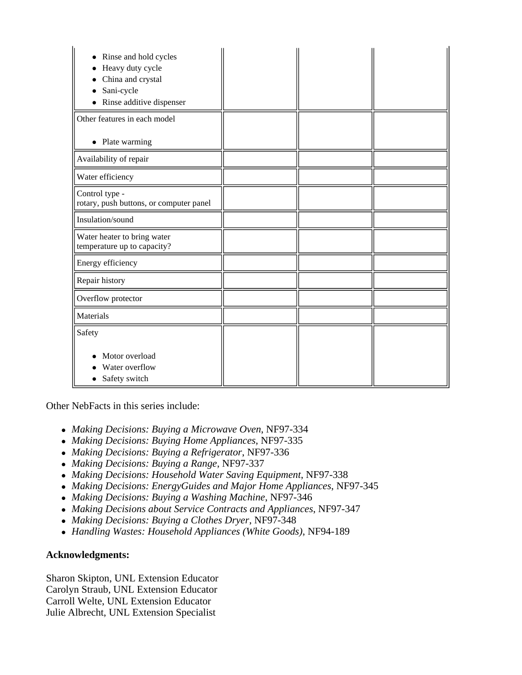| Rinse and hold cycles<br>Heavy duty cycle<br>China and crystal<br>Sani-cycle<br>Rinse additive dispenser |  |  |
|----------------------------------------------------------------------------------------------------------|--|--|
| Other features in each model                                                                             |  |  |
| • Plate warming                                                                                          |  |  |
| Availability of repair                                                                                   |  |  |
| Water efficiency                                                                                         |  |  |
| Control type -<br>rotary, push buttons, or computer panel                                                |  |  |
| Insulation/sound                                                                                         |  |  |
| Water heater to bring water<br>temperature up to capacity?                                               |  |  |
| Energy efficiency                                                                                        |  |  |
| Repair history                                                                                           |  |  |
| Overflow protector                                                                                       |  |  |
| Materials                                                                                                |  |  |
| Safety                                                                                                   |  |  |
| Motor overload<br>Water overflow<br>Safety switch                                                        |  |  |

Other NebFacts in this series include:

- *Making Decisions: Buying a Microwave Oven*, NF97-334
- <sup>z</sup> *Making Decisions: Buying Home Appliances*, NF97-335
- <sup>z</sup> *Making Decisions: Buying a Refrigerator*, NF97-336
- <sup>z</sup> *Making Decisions: Buying a Range*, NF97-337
- *Making Decisions: Household Water Saving Equipment*, NF97-338
- <sup>z</sup> *Making Decisions: EnergyGuides and Major Home Appliances*, NF97-345
- *Making Decisions: Buying a Washing Machine*, NF97-346
- *Making Decisions about Service Contracts and Appliances*, NF97-347
- *Making Decisions: Buying a Clothes Dryer*, NF97-348
- <sup>z</sup> *Handling Wastes: Household Appliances (White Goods)*, NF94-189

### **Acknowledgments:**

Sharon Skipton, UNL Extension Educator Carolyn Straub, UNL Extension Educator Carroll Welte, UNL Extension Educator Julie Albrecht, UNL Extension Specialist